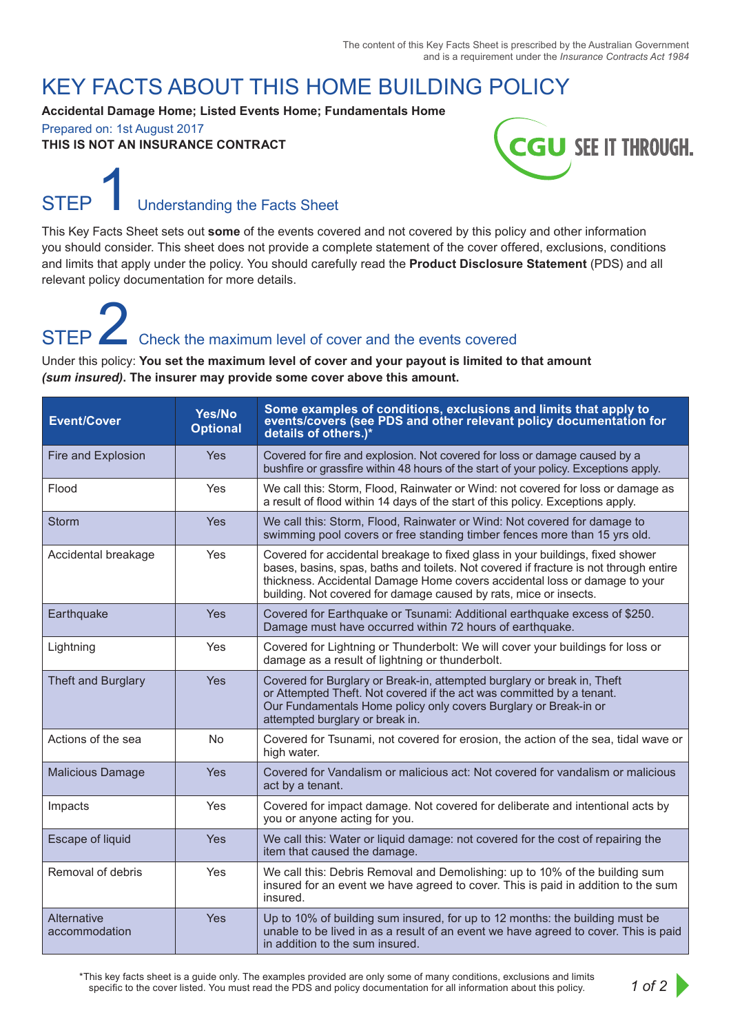### KEY FACTS ABOUT THIS HOME BUILDING POLICY

**Accidental Damage Home; Listed Events Home; Fundamentals Home** Prepared on: 1st August 2017

**THIS IS NOT AN INSURANCE CONTRACT**



## Understanding the Facts Sheet

This Key Facts Sheet sets out **some** of the events covered and not covered by this policy and other information you should consider. This sheet does not provide a complete statement of the cover offered, exclusions, conditions and limits that apply under the policy. You should carefully read the **Product Disclosure Statement** (PDS) and all relevant policy documentation for more details.

# Check the maximum level of cover and the events covered

Under this policy: **You set the maximum level of cover and your payout is limited to that amount**  *(sum insured)***. The insurer may provide some cover above this amount.** 

| <b>Event/Cover</b>           | Yes/No<br><b>Optional</b> | Some examples of conditions, exclusions and limits that apply to<br>events/covers (see PDS and other relevant policy documentation for<br>details of others.)*                                                                                                                                                             |
|------------------------------|---------------------------|----------------------------------------------------------------------------------------------------------------------------------------------------------------------------------------------------------------------------------------------------------------------------------------------------------------------------|
| Fire and Explosion           | Yes                       | Covered for fire and explosion. Not covered for loss or damage caused by a<br>bushfire or grassfire within 48 hours of the start of your policy. Exceptions apply.                                                                                                                                                         |
| Flood                        | Yes                       | We call this: Storm, Flood, Rainwater or Wind: not covered for loss or damage as<br>a result of flood within 14 days of the start of this policy. Exceptions apply.                                                                                                                                                        |
| <b>Storm</b>                 | <b>Yes</b>                | We call this: Storm, Flood, Rainwater or Wind: Not covered for damage to<br>swimming pool covers or free standing timber fences more than 15 yrs old.                                                                                                                                                                      |
| Accidental breakage          | <b>Yes</b>                | Covered for accidental breakage to fixed glass in your buildings, fixed shower<br>bases, basins, spas, baths and toilets. Not covered if fracture is not through entire<br>thickness. Accidental Damage Home covers accidental loss or damage to your<br>building. Not covered for damage caused by rats, mice or insects. |
| Earthquake                   | <b>Yes</b>                | Covered for Earthquake or Tsunami: Additional earthquake excess of \$250.<br>Damage must have occurred within 72 hours of earthquake.                                                                                                                                                                                      |
| Lightning                    | Yes                       | Covered for Lightning or Thunderbolt: We will cover your buildings for loss or<br>damage as a result of lightning or thunderbolt.                                                                                                                                                                                          |
| Theft and Burglary           | Yes                       | Covered for Burglary or Break-in, attempted burglary or break in, Theft<br>or Attempted Theft. Not covered if the act was committed by a tenant.<br>Our Fundamentals Home policy only covers Burglary or Break-in or<br>attempted burglary or break in.                                                                    |
| Actions of the sea           | No                        | Covered for Tsunami, not covered for erosion, the action of the sea, tidal wave or<br>high water.                                                                                                                                                                                                                          |
| <b>Malicious Damage</b>      | Yes                       | Covered for Vandalism or malicious act: Not covered for vandalism or malicious<br>act by a tenant.                                                                                                                                                                                                                         |
| Impacts                      | Yes                       | Covered for impact damage. Not covered for deliberate and intentional acts by<br>you or anyone acting for you.                                                                                                                                                                                                             |
| Escape of liquid             | <b>Yes</b>                | We call this: Water or liquid damage: not covered for the cost of repairing the<br>item that caused the damage.                                                                                                                                                                                                            |
| Removal of debris            | Yes                       | We call this: Debris Removal and Demolishing: up to 10% of the building sum<br>insured for an event we have agreed to cover. This is paid in addition to the sum<br>insured.                                                                                                                                               |
| Alternative<br>accommodation | Yes                       | Up to 10% of building sum insured, for up to 12 months: the building must be<br>unable to be lived in as a result of an event we have agreed to cover. This is paid<br>in addition to the sum insured.                                                                                                                     |

\*This key facts sheet is a guide only. The examples provided are only some of many conditions, exclusions and limits specific to the cover listed. You must read the PDS and policy documentation for all information about this policy.